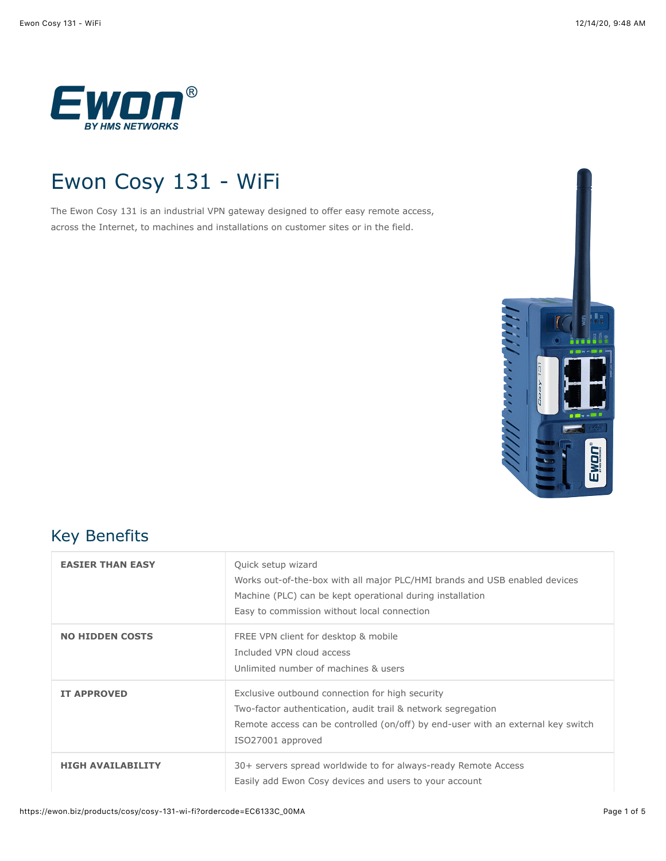

# Ewon Cosy 131 - WiFi

The Ewon Cosy 131 is an industrial VPN gateway designed to offer easy remote access, across the Internet, to machines and installations on customer sites or in the field.



#### Key Benefits

| <b>EASTER THAN EASY</b>  | Quick setup wizard<br>Works out-of-the-box with all major PLC/HMI brands and USB enabled devices<br>Machine (PLC) can be kept operational during installation<br>Easy to commission without local connection             |
|--------------------------|--------------------------------------------------------------------------------------------------------------------------------------------------------------------------------------------------------------------------|
| <b>NO HIDDEN COSTS</b>   | FREE VPN client for desktop & mobile<br>Included VPN cloud access<br>Unlimited number of machines & users                                                                                                                |
| <b>IT APPROVED</b>       | Exclusive outbound connection for high security<br>Two-factor authentication, audit trail & network segregation<br>Remote access can be controlled (on/off) by end-user with an external key switch<br>ISO27001 approved |
| <b>HIGH AVAILABILITY</b> | 30+ servers spread worldwide to for always-ready Remote Access<br>Easily add Ewon Cosy devices and users to your account                                                                                                 |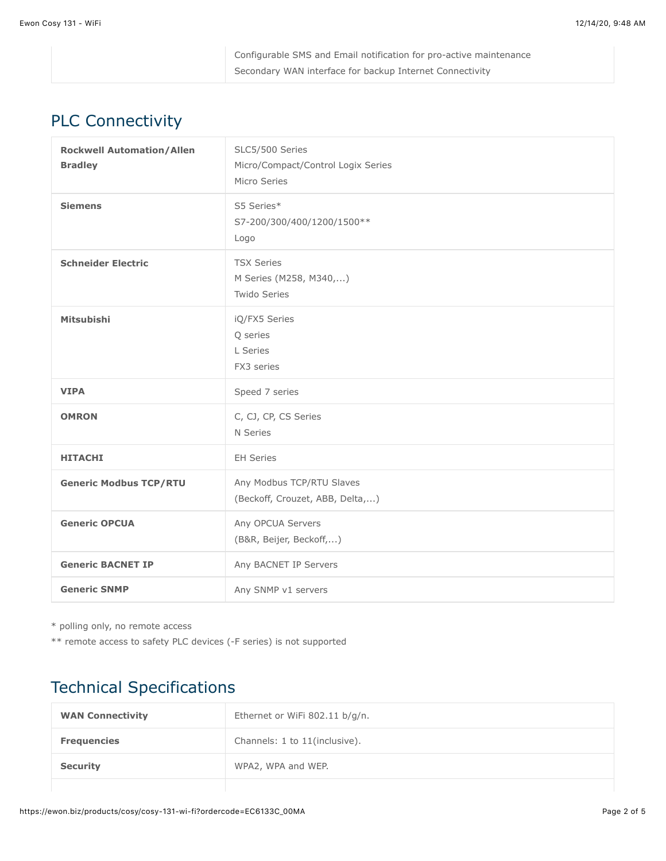| Configurable SMS and Email notification for pro-active maintenance |
|--------------------------------------------------------------------|
| Secondary WAN interface for backup Internet Connectivity           |

## PLC Connectivity

| <b>Rockwell Automation/Allen</b><br><b>Bradley</b> | SLC5/500 Series<br>Micro/Compact/Control Logix Series<br>Micro Series |
|----------------------------------------------------|-----------------------------------------------------------------------|
| <b>Siemens</b>                                     | S5 Series*<br>S7-200/300/400/1200/1500**<br>Logo                      |
| <b>Schneider Electric</b>                          | <b>TSX Series</b><br>M Series (M258, M340,)<br>Twido Series           |
| <b>Mitsubishi</b>                                  | iQ/FX5 Series<br>Q series<br>L Series<br>FX3 series                   |
| <b>VIPA</b>                                        | Speed 7 series                                                        |
| <b>OMRON</b>                                       | C, CJ, CP, CS Series<br>N Series                                      |
| <b>HITACHI</b>                                     | <b>EH Series</b>                                                      |
| <b>Generic Modbus TCP/RTU</b>                      | Any Modbus TCP/RTU Slaves<br>(Beckoff, Crouzet, ABB, Delta,)          |
| <b>Generic OPCUA</b>                               | Any OPCUA Servers<br>(B&R, Beijer, Beckoff,)                          |
| <b>Generic BACNET IP</b>                           | Any BACNET IP Servers                                                 |
| <b>Generic SNMP</b>                                | Any SNMP v1 servers                                                   |

\* polling only, no remote access

\*\* remote access to safety PLC devices (-F series) is not supported

## Technical Specifications

| <b>WAN Connectivity</b> | Ethernet or WiFi 802.11 b/g/n. |
|-------------------------|--------------------------------|
| <b>Frequencies</b>      | Channels: 1 to 11(inclusive).  |
| <b>Security</b>         | WPA2, WPA and WEP.             |
|                         |                                |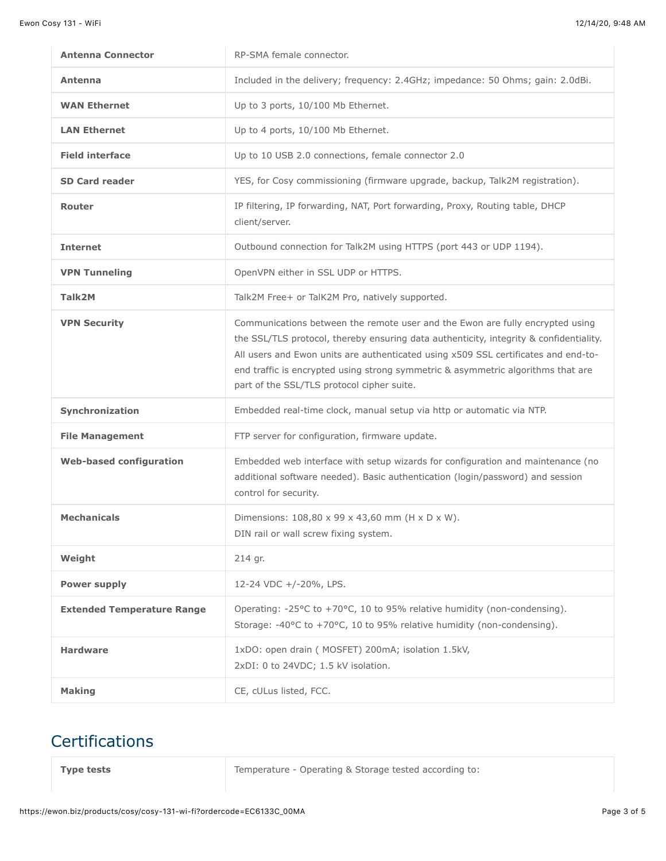| <b>Antenna Connector</b>          | RP-SMA female connector.                                                                                                                                                                                                                                                                                                                                                                        |
|-----------------------------------|-------------------------------------------------------------------------------------------------------------------------------------------------------------------------------------------------------------------------------------------------------------------------------------------------------------------------------------------------------------------------------------------------|
| Antenna                           | Included in the delivery; frequency: 2.4GHz; impedance: 50 Ohms; gain: 2.0dBi.                                                                                                                                                                                                                                                                                                                  |
| <b>WAN Ethernet</b>               | Up to 3 ports, 10/100 Mb Ethernet.                                                                                                                                                                                                                                                                                                                                                              |
| <b>LAN Ethernet</b>               | Up to 4 ports, 10/100 Mb Ethernet.                                                                                                                                                                                                                                                                                                                                                              |
| <b>Field interface</b>            | Up to 10 USB 2.0 connections, female connector 2.0                                                                                                                                                                                                                                                                                                                                              |
| <b>SD Card reader</b>             | YES, for Cosy commissioning (firmware upgrade, backup, Talk2M registration).                                                                                                                                                                                                                                                                                                                    |
| Router                            | IP filtering, IP forwarding, NAT, Port forwarding, Proxy, Routing table, DHCP<br>client/server.                                                                                                                                                                                                                                                                                                 |
| <b>Internet</b>                   | Outbound connection for Talk2M using HTTPS (port 443 or UDP 1194).                                                                                                                                                                                                                                                                                                                              |
| <b>VPN Tunneling</b>              | OpenVPN either in SSL UDP or HTTPS.                                                                                                                                                                                                                                                                                                                                                             |
| Talk2M                            | Talk2M Free+ or TalK2M Pro, natively supported.                                                                                                                                                                                                                                                                                                                                                 |
| <b>VPN Security</b>               | Communications between the remote user and the Ewon are fully encrypted using<br>the SSL/TLS protocol, thereby ensuring data authenticity, integrity & confidentiality.<br>All users and Ewon units are authenticated using x509 SSL certificates and end-to-<br>end traffic is encrypted using strong symmetric & asymmetric algorithms that are<br>part of the SSL/TLS protocol cipher suite. |
| Synchronization                   | Embedded real-time clock, manual setup via http or automatic via NTP.                                                                                                                                                                                                                                                                                                                           |
| <b>File Management</b>            | FTP server for configuration, firmware update.                                                                                                                                                                                                                                                                                                                                                  |
| <b>Web-based configuration</b>    | Embedded web interface with setup wizards for configuration and maintenance (no<br>additional software needed). Basic authentication (login/password) and session<br>control for security.                                                                                                                                                                                                      |
| <b>Mechanicals</b>                | Dimensions: 108,80 x 99 x 43,60 mm (H x D x W).<br>DIN rail or wall screw fixing system.                                                                                                                                                                                                                                                                                                        |
| Weight                            | 214 gr.                                                                                                                                                                                                                                                                                                                                                                                         |
| Power supply                      | 12-24 VDC +/-20%, LPS.                                                                                                                                                                                                                                                                                                                                                                          |
| <b>Extended Temperature Range</b> | Operating: -25 $\degree$ C to +70 $\degree$ C, 10 to 95% relative humidity (non-condensing).<br>Storage: -40°C to +70°C, 10 to 95% relative humidity (non-condensing).                                                                                                                                                                                                                          |
| <b>Hardware</b>                   | 1xDO: open drain ( MOSFET) 200mA; isolation 1.5kV,<br>2xDI: 0 to 24VDC; 1.5 kV isolation.                                                                                                                                                                                                                                                                                                       |
| <b>Making</b>                     | CE, cULus listed, FCC.                                                                                                                                                                                                                                                                                                                                                                          |

## **Certifications**

**Type tests** Type **Temperature** - Operating & Storage tested according to: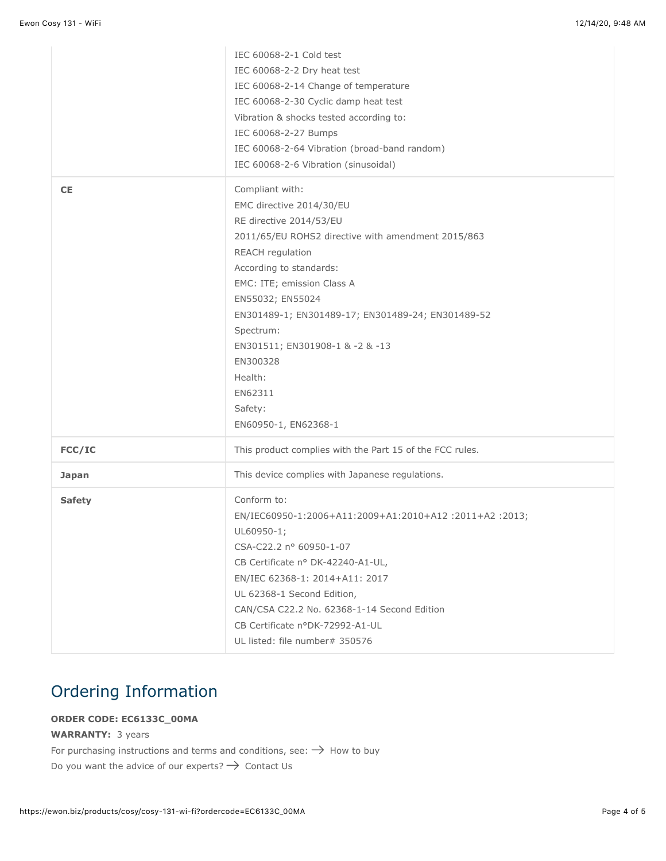|               | IEC 60068-2-1 Cold test                                  |
|---------------|----------------------------------------------------------|
|               | IEC 60068-2-2 Dry heat test                              |
|               | IEC 60068-2-14 Change of temperature                     |
|               | IEC 60068-2-30 Cyclic damp heat test                     |
|               | Vibration & shocks tested according to:                  |
|               | IEC 60068-2-27 Bumps                                     |
|               | IEC 60068-2-64 Vibration (broad-band random)             |
|               | IEC 60068-2-6 Vibration (sinusoidal)                     |
| <b>CE</b>     | Compliant with:                                          |
|               | EMC directive 2014/30/EU                                 |
|               | RE directive 2014/53/EU                                  |
|               | 2011/65/EU ROHS2 directive with amendment 2015/863       |
|               | REACH regulation                                         |
|               | According to standards:                                  |
|               | EMC: ITE; emission Class A                               |
|               | EN55032; EN55024                                         |
|               | EN301489-1; EN301489-17; EN301489-24; EN301489-52        |
|               | Spectrum:                                                |
|               | EN301511; EN301908-1 & -2 & -13                          |
|               | EN300328                                                 |
|               | Health:                                                  |
|               | EN62311                                                  |
|               | Safety:                                                  |
|               | EN60950-1, EN62368-1                                     |
| FCC/IC        | This product complies with the Part 15 of the FCC rules. |
| <b>Japan</b>  | This device complies with Japanese regulations.          |
| <b>Safety</b> | Conform to:                                              |
|               | EN/IEC60950-1:2006+A11:2009+A1:2010+A12:2011+A2:2013;    |
|               | UL60950-1;                                               |
|               | CSA-C22.2 nº 60950-1-07                                  |
|               | CB Certificate nº DK-42240-A1-UL,                        |
|               | EN/IEC 62368-1: 2014+A11: 2017                           |
|               | UL 62368-1 Second Edition,                               |
|               |                                                          |
|               | CAN/CSA C22.2 No. 62368-1-14 Second Edition              |
|               | CB Certificate nºDK-72992-A1-UL                          |

#### Ordering Information

#### **ORDER CODE: EC6133C\_00MA**

#### **WARRANTY:** 3 years

For purchasing instructions and terms and conditions, see:  $\rightarrow$  [How to buy](https://www.ewon.biz/contact/how-to-buy) Do you want the advice of our experts?  $\rightarrow$  [Contact Us](https://www.ewon.biz/contact)